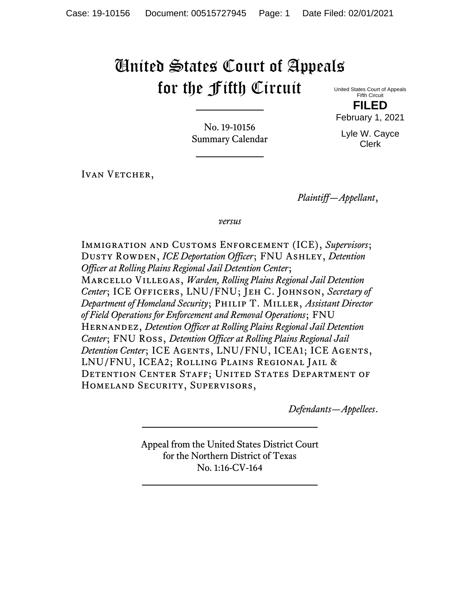# United States Court of Appeals for the Fifth Circuit

United States Court of Appeals Fifth Circuit **FILED**

February 1, 2021

Lyle W. Cayce Clerk

No. 19-10156 Summary Calendar

IVAN VETCHER,

*Plaintiff—Appellant*,

*versus*

Immigration and Customs Enforcement (ICE), *Supervisors*; Dusty Rowden, *ICE Deportation Officer*; FNU Ashley, *Detention Officer at Rolling Plains Regional Jail Detention Center*; Marcello Villegas, *Warden, Rolling Plains Regional Jail Detention Center*; ICE Officers, LNU/FNU; Jeh C. Johnson, *Secretary of Department of Homeland Security*; Philip T. Miller, *Assistant Director of Field Operations for Enforcement and Removal Operations*; FNU Hernandez, *Detention Officer at Rolling Plains Regional Jail Detention Center*; FNU Ross, *Detention Officer at Rolling Plains Regional Jail Detention Center*; ICE AGENTS, LNU/FNU, ICEA1; ICE AGENTS, LNU/FNU, ICEA2; Rolling Plains Regional Jail & DETENTION CENTER STAFF; UNITED STATES DEPARTMENT OF Homeland Security, Supervisors,

*Defendants—Appellees*.

Appeal from the United States District Court for the Northern District of Texas No. 1:16-CV-164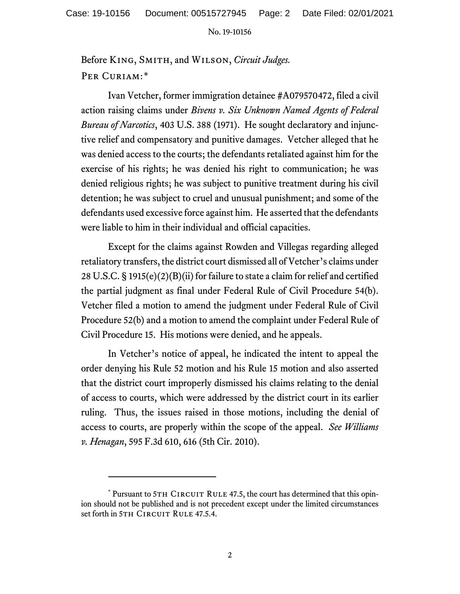Before King, Smith, and Wilson, *Circuit Judges.*  PER CURIAM:[\\*](#page-1-0)

Ivan Vetcher, former immigration detainee #A079570472, filed a civil action raising claims under *Bivens v. Six Unknown Named Agents of Federal Bureau of Narcotics*, 403 U.S. 388 (1971). He sought declaratory and injunctive relief and compensatory and punitive damages. Vetcher alleged that he was denied access to the courts; the defendants retaliated against him for the exercise of his rights; he was denied his right to communication; he was denied religious rights; he was subject to punitive treatment during his civil detention; he was subject to cruel and unusual punishment; and some of the defendants used excessive force against him. He asserted that the defendants were liable to him in their individual and official capacities.

Except for the claims against Rowden and Villegas regarding alleged retaliatory transfers, the district court dismissed all of Vetcher's claims under 28 U.S.C. § 1915(e)(2)(B)(ii) for failure to state a claim for relief and certified the partial judgment as final under Federal Rule of Civil Procedure 54(b). Vetcher filed a motion to amend the judgment under Federal Rule of Civil Procedure 52(b) and a motion to amend the complaint under Federal Rule of Civil Procedure 15. His motions were denied, and he appeals.

In Vetcher's notice of appeal, he indicated the intent to appeal the order denying his Rule 52 motion and his Rule 15 motion and also asserted that the district court improperly dismissed his claims relating to the denial of access to courts, which were addressed by the district court in its earlier ruling. Thus, the issues raised in those motions, including the denial of access to courts, are properly within the scope of the appeal. *See Williams v. Henagan*, 595 F.3d 610, 616 (5th Cir. 2010).

<span id="page-1-0"></span><sup>\*</sup> Pursuant to 5TH CIRCUIT RULE 47.5, the court has determined that this opinion should not be published and is not precedent except under the limited circumstances set forth in 5TH CIRCUIT RULE 47.5.4.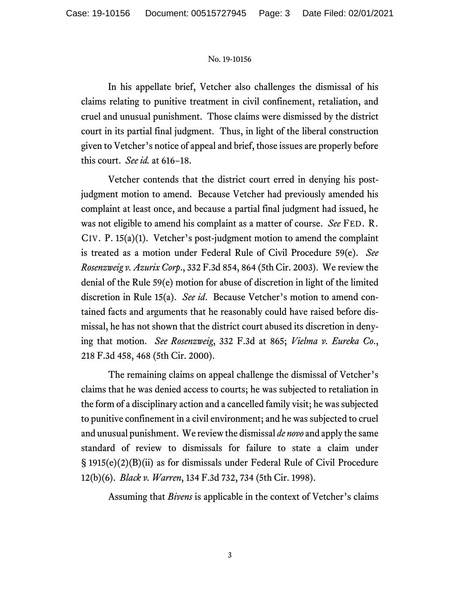In his appellate brief, Vetcher also challenges the dismissal of his claims relating to punitive treatment in civil confinement, retaliation, and cruel and unusual punishment. Those claims were dismissed by the district court in its partial final judgment. Thus, in light of the liberal construction given to Vetcher's notice of appeal and brief, those issues are properly before this court. *See id.* at 616−18.

Vetcher contends that the district court erred in denying his postjudgment motion to amend. Because Vetcher had previously amended his complaint at least once, and because a partial final judgment had issued, he was not eligible to amend his complaint as a matter of course. *See* FED. R. CIV. P. 15(a)(1). Vetcher's post-judgment motion to amend the complaint is treated as a motion under Federal Rule of Civil Procedure 59(e). *See Rosenzweig v. Azurix Corp*., 332 F.3d 854, 864 (5th Cir. 2003). We review the denial of the Rule 59(e) motion for abuse of discretion in light of the limited discretion in Rule 15(a). *See id*. Because Vetcher's motion to amend contained facts and arguments that he reasonably could have raised before dismissal, he has not shown that the district court abused its discretion in denying that motion. *See Rosenzweig*, 332 F.3d at 865; *Vielma v. Eureka Co*., 218 F.3d 458, 468 (5th Cir. 2000).

The remaining claims on appeal challenge the dismissal of Vetcher's claims that he was denied access to courts; he was subjected to retaliation in the form of a disciplinary action and a cancelled family visit; he was subjected to punitive confinement in a civil environment; and he was subjected to cruel and unusual punishment. We reviewthe dismissal *de novo* and apply the same standard of review to dismissals for failure to state a claim under § 1915(e)(2)(B)(ii) as for dismissals under Federal Rule of Civil Procedure 12(b)(6). *Black v. Warren*, 134 F.3d 732, 734 (5th Cir. 1998).

Assuming that *Bivens* is applicable in the context of Vetcher's claims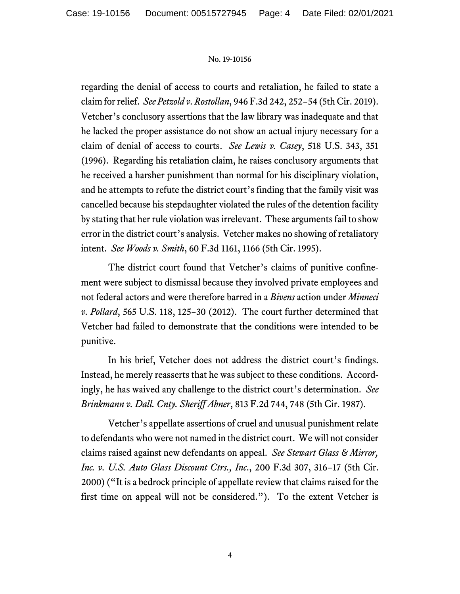regarding the denial of access to courts and retaliation, he failed to state a claim for relief. *See Petzold v. Rostollan*, 946 F.3d 242, 252−54 (5th Cir. 2019). Vetcher's conclusory assertions that the law library was inadequate and that he lacked the proper assistance do not show an actual injury necessary for a claim of denial of access to courts. *See Lewis v. Casey*, 518 U.S. 343, 351 (1996). Regarding his retaliation claim, he raises conclusory arguments that he received a harsher punishment than normal for his disciplinary violation, and he attempts to refute the district court's finding that the family visit was cancelled because his stepdaughter violated the rules of the detention facility by stating that her rule violation was irrelevant. These arguments fail to show error in the district court's analysis. Vetcher makes no showing of retaliatory intent. *See Woods v. Smith*, 60 F.3d 1161, 1166 (5th Cir. 1995).

The district court found that Vetcher's claims of punitive confinement were subject to dismissal because they involved private employees and not federal actors and were therefore barred in a *Bivens* action under *Minneci v. Pollard*, 565 U.S. 118, 125−30 (2012). The court further determined that Vetcher had failed to demonstrate that the conditions were intended to be punitive.

In his brief, Vetcher does not address the district court's findings. Instead, he merely reasserts that he was subject to these conditions. Accordingly, he has waived any challenge to the district court's determination. *See Brinkmann v. Dall. Cnty. Sheriff Abner*, 813 F.2d 744, 748 (5th Cir. 1987).

Vetcher's appellate assertions of cruel and unusual punishment relate to defendants who were not named in the district court. We will not consider claims raised against new defendants on appeal. *See Stewart Glass & Mirror, Inc. v. U.S. Auto Glass Discount Ctrs., Inc*., 200 F.3d 307, 316−17 (5th Cir. 2000) ("It is a bedrock principle of appellate review that claims raised for the first time on appeal will not be considered."). To the extent Vetcher is